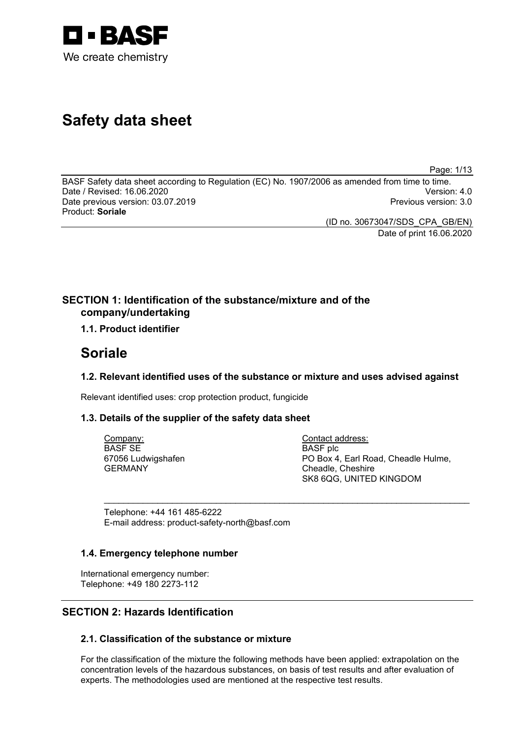

# **Safety data sheet**

Page: 1/13

BASF Safety data sheet according to Regulation (EC) No. 1907/2006 as amended from time to time. Date / Revised: 16.06.2020 Version: 4.0 Date previous version: 03.07.2019 Product: **Soriale**

> (ID no. 30673047/SDS\_CPA\_GB/EN) Date of print 16.06.2020

### **SECTION 1: Identification of the substance/mixture and of the company/undertaking**

### **1.1. Product identifier**

## **Soriale**

### **1.2. Relevant identified uses of the substance or mixture and uses advised against**

\_\_\_\_\_\_\_\_\_\_\_\_\_\_\_\_\_\_\_\_\_\_\_\_\_\_\_\_\_\_\_\_\_\_\_\_\_\_\_\_\_\_\_\_\_\_\_\_\_\_\_\_\_\_\_\_\_\_\_\_\_\_\_\_\_\_\_\_\_\_\_\_\_\_\_

Relevant identified uses: crop protection product, fungicide

### **1.3. Details of the supplier of the safety data sheet**

Company: BASF SE 67056 Ludwigshafen GERMANY

Contact address: BASF plc PO Box 4, Earl Road, Cheadle Hulme, Cheadle, Cheshire SK8 6QG, UNITED KINGDOM

Telephone: +44 161 485-6222 E-mail address: product-safety-north@basf.com

### **1.4. Emergency telephone number**

International emergency number: Telephone: +49 180 2273-112

### **SECTION 2: Hazards Identification**

### **2.1. Classification of the substance or mixture**

For the classification of the mixture the following methods have been applied: extrapolation on the concentration levels of the hazardous substances, on basis of test results and after evaluation of experts. The methodologies used are mentioned at the respective test results.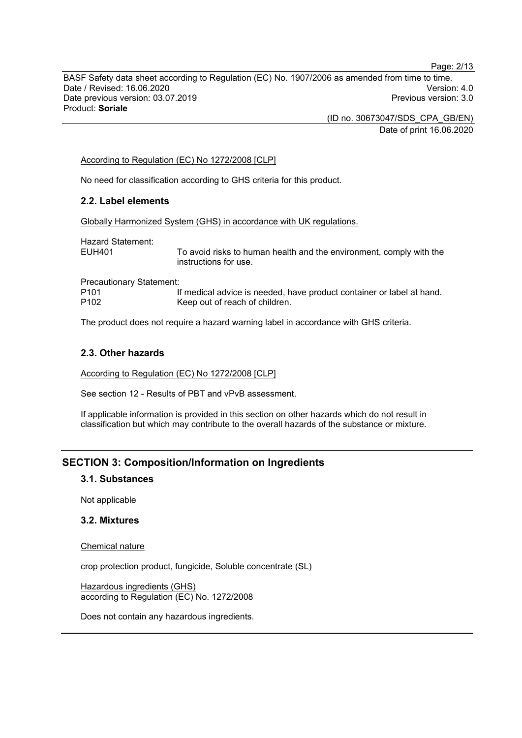BASF Safety data sheet according to Regulation (EC) No. 1907/2006 as amended from time to time. Date / Revised: 16.06.2020 Version: 4.0 Date previous version: 03.07.2019 Product: **Soriale**

> (ID no. 30673047/SDS\_CPA\_GB/EN) Date of print 16.06.2020

#### According to Regulation (EC) No 1272/2008 [CLP]

No need for classification according to GHS criteria for this product.

### **2.2. Label elements**

Globally Harmonized System (GHS) in accordance with UK regulations.

Hazard Statement:<br>EUH401

To avoid risks to human health and the environment, comply with the instructions for use.

Precautionary Statement:<br>| P101 P101 If medical advice is needed, have product container or label at hand.<br>P102 Seep out of reach of children. Keep out of reach of children.

The product does not require a hazard warning label in accordance with GHS criteria.

#### **2.3. Other hazards**

According to Regulation (EC) No 1272/2008 [CLP]

See section 12 - Results of PBT and vPvB assessment.

If applicable information is provided in this section on other hazards which do not result in classification but which may contribute to the overall hazards of the substance or mixture.

### **SECTION 3: Composition/Information on Ingredients**

#### **3.1. Substances**

Not applicable

### **3.2. Mixtures**

Chemical nature

crop protection product, fungicide, Soluble concentrate (SL)

Hazardous ingredients (GHS) according to Regulation (EC) No. 1272/2008

Does not contain any hazardous ingredients.

Page: 2/13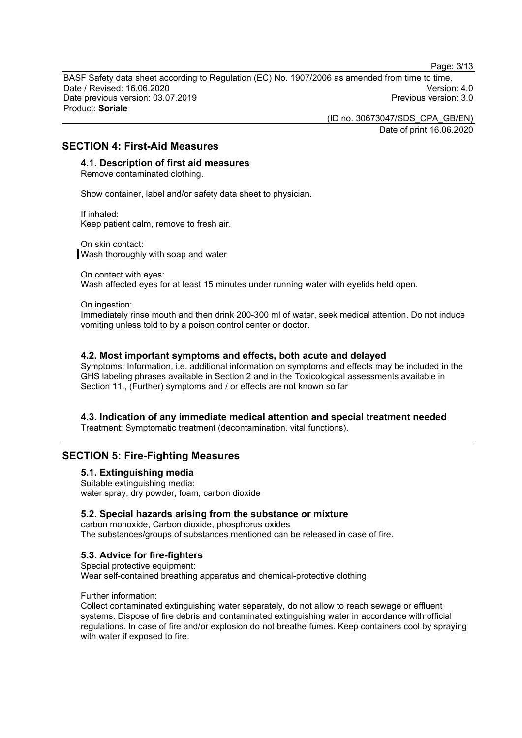Page: 3/13

BASF Safety data sheet according to Regulation (EC) No. 1907/2006 as amended from time to time. Date / Revised: 16.06.2020 Version: 4.0 Date previous version: 03.07.2019 Product: **Soriale**

> (ID no. 30673047/SDS\_CPA\_GB/EN) Date of print 16.06.2020

### **SECTION 4: First-Aid Measures**

### **4.1. Description of first aid measures**

Remove contaminated clothing.

Show container, label and/or safety data sheet to physician.

If inhaled: Keep patient calm, remove to fresh air.

On skin contact: Wash thoroughly with soap and water

On contact with eyes: Wash affected eyes for at least 15 minutes under running water with eyelids held open.

On ingestion:

Immediately rinse mouth and then drink 200-300 ml of water, seek medical attention. Do not induce vomiting unless told to by a poison control center or doctor.

#### **4.2. Most important symptoms and effects, both acute and delayed**

Symptoms: Information, i.e. additional information on symptoms and effects may be included in the GHS labeling phrases available in Section 2 and in the Toxicological assessments available in Section 11., (Further) symptoms and / or effects are not known so far

## **4.3. Indication of any immediate medical attention and special treatment needed**

Treatment: Symptomatic treatment (decontamination, vital functions).

### **SECTION 5: Fire-Fighting Measures**

#### **5.1. Extinguishing media**

Suitable extinguishing media: water spray, dry powder, foam, carbon dioxide

### **5.2. Special hazards arising from the substance or mixture**

carbon monoxide, Carbon dioxide, phosphorus oxides The substances/groups of substances mentioned can be released in case of fire.

### **5.3. Advice for fire-fighters**

Special protective equipment: Wear self-contained breathing apparatus and chemical-protective clothing.

Further information:

Collect contaminated extinguishing water separately, do not allow to reach sewage or effluent systems. Dispose of fire debris and contaminated extinguishing water in accordance with official regulations. In case of fire and/or explosion do not breathe fumes. Keep containers cool by spraying with water if exposed to fire.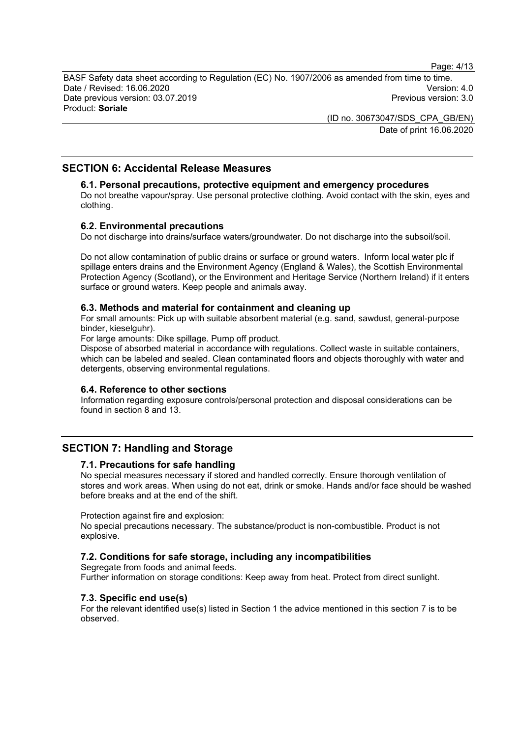Page: 4/13

BASF Safety data sheet according to Regulation (EC) No. 1907/2006 as amended from time to time. Date / Revised: 16.06.2020 Version: 4.0 Date previous version: 03.07.2019 Product: **Soriale**

> (ID no. 30673047/SDS\_CPA\_GB/EN) Date of print 16.06.2020

### **SECTION 6: Accidental Release Measures**

#### **6.1. Personal precautions, protective equipment and emergency procedures**

Do not breathe vapour/spray. Use personal protective clothing. Avoid contact with the skin, eyes and clothing.

#### **6.2. Environmental precautions**

Do not discharge into drains/surface waters/groundwater. Do not discharge into the subsoil/soil.

Do not allow contamination of public drains or surface or ground waters. Inform local water plc if spillage enters drains and the Environment Agency (England & Wales), the Scottish Environmental Protection Agency (Scotland), or the Environment and Heritage Service (Northern Ireland) if it enters surface or ground waters. Keep people and animals away.

#### **6.3. Methods and material for containment and cleaning up**

For small amounts: Pick up with suitable absorbent material (e.g. sand, sawdust, general-purpose binder, kieselguhr).

For large amounts: Dike spillage. Pump off product.

Dispose of absorbed material in accordance with regulations. Collect waste in suitable containers, which can be labeled and sealed. Clean contaminated floors and objects thoroughly with water and detergents, observing environmental regulations.

#### **6.4. Reference to other sections**

Information regarding exposure controls/personal protection and disposal considerations can be found in section 8 and 13.

### **SECTION 7: Handling and Storage**

#### **7.1. Precautions for safe handling**

No special measures necessary if stored and handled correctly. Ensure thorough ventilation of stores and work areas. When using do not eat, drink or smoke. Hands and/or face should be washed before breaks and at the end of the shift.

Protection against fire and explosion:

No special precautions necessary. The substance/product is non-combustible. Product is not explosive.

### **7.2. Conditions for safe storage, including any incompatibilities**

Segregate from foods and animal feeds. Further information on storage conditions: Keep away from heat. Protect from direct sunlight.

#### **7.3. Specific end use(s)**

For the relevant identified use(s) listed in Section 1 the advice mentioned in this section 7 is to be observed.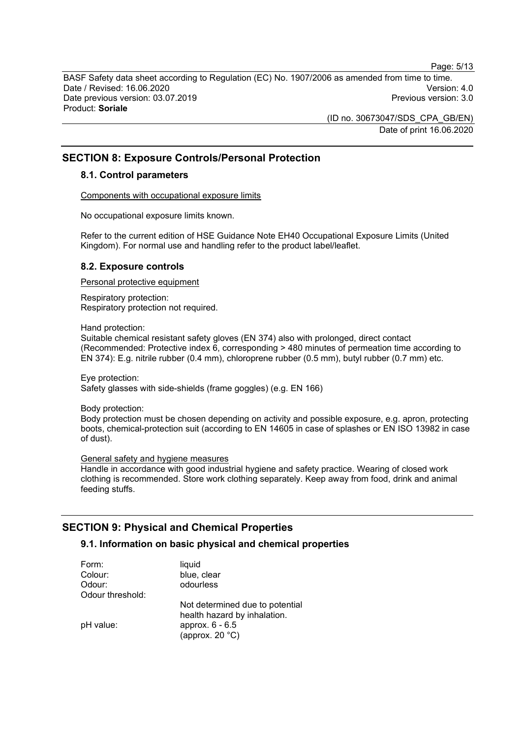Page: 5/13

BASF Safety data sheet according to Regulation (EC) No. 1907/2006 as amended from time to time. Date / Revised: 16.06.2020 Version: 4.0 Date previous version: 03.07.2019 Product: **Soriale**

> (ID no. 30673047/SDS\_CPA\_GB/EN) Date of print 16.06.2020

### **SECTION 8: Exposure Controls/Personal Protection**

#### **8.1. Control parameters**

Components with occupational exposure limits

No occupational exposure limits known.

Refer to the current edition of HSE Guidance Note EH40 Occupational Exposure Limits (United Kingdom). For normal use and handling refer to the product label/leaflet.

#### **8.2. Exposure controls**

Personal protective equipment

Respiratory protection: Respiratory protection not required.

Hand protection:

Suitable chemical resistant safety gloves (EN 374) also with prolonged, direct contact (Recommended: Protective index 6, corresponding > 480 minutes of permeation time according to EN 374): E.g. nitrile rubber (0.4 mm), chloroprene rubber (0.5 mm), butyl rubber (0.7 mm) etc.

Eye protection: Safety glasses with side-shields (frame goggles) (e.g. EN 166)

Body protection:

Body protection must be chosen depending on activity and possible exposure, e.g. apron, protecting boots, chemical-protection suit (according to EN 14605 in case of splashes or EN ISO 13982 in case of dust).

General safety and hygiene measures

Handle in accordance with good industrial hygiene and safety practice. Wearing of closed work clothing is recommended. Store work clothing separately. Keep away from food, drink and animal feeding stuffs.

### **SECTION 9: Physical and Chemical Properties**

### **9.1. Information on basic physical and chemical properties**

| liquid                                                          |
|-----------------------------------------------------------------|
| blue, clear                                                     |
| odourless                                                       |
|                                                                 |
| Not determined due to potential<br>health hazard by inhalation. |
| approx. 6 - 6.5<br>(approx. $20 °C$ )                           |
|                                                                 |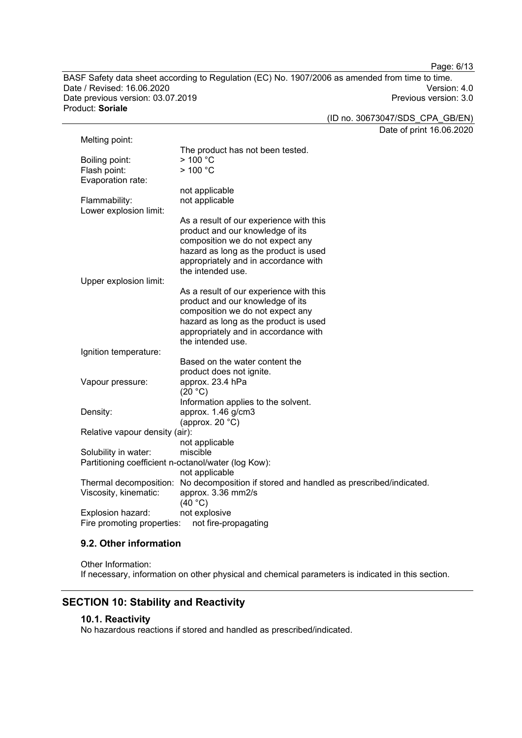Page: 6/13

BASF Safety data sheet according to Regulation (EC) No. 1907/2006 as amended from time to time. Date / Revised: 16.06.2020 Version: 4.0 Date previous version: 03.07.2019 Product: **Soriale**

(ID no. 30673047/SDS\_CPA\_GB/EN)

Date of print 16.06.2020

| Melting point:                                      |                                                                 |  |  |
|-----------------------------------------------------|-----------------------------------------------------------------|--|--|
|                                                     | The product has not been tested.                                |  |  |
| Boiling point:                                      | >100 °C                                                         |  |  |
| Flash point:                                        | >100 °C                                                         |  |  |
| Evaporation rate:                                   |                                                                 |  |  |
|                                                     | not applicable                                                  |  |  |
| Flammability:                                       | not applicable                                                  |  |  |
| Lower explosion limit:                              |                                                                 |  |  |
|                                                     | As a result of our experience with this                         |  |  |
|                                                     | product and our knowledge of its                                |  |  |
|                                                     | composition we do not expect any                                |  |  |
|                                                     | hazard as long as the product is used                           |  |  |
|                                                     | appropriately and in accordance with                            |  |  |
|                                                     | the intended use.                                               |  |  |
| Upper explosion limit:                              |                                                                 |  |  |
|                                                     | As a result of our experience with this                         |  |  |
|                                                     | product and our knowledge of its                                |  |  |
|                                                     | composition we do not expect any                                |  |  |
|                                                     | hazard as long as the product is used                           |  |  |
|                                                     | appropriately and in accordance with                            |  |  |
|                                                     | the intended use.                                               |  |  |
| Ignition temperature:                               |                                                                 |  |  |
|                                                     | Based on the water content the                                  |  |  |
|                                                     | product does not ignite.                                        |  |  |
| Vapour pressure:                                    | approx. 23.4 hPa                                                |  |  |
|                                                     | (20 °C)                                                         |  |  |
|                                                     | Information applies to the solvent.                             |  |  |
| Density:                                            | approx. 1.46 g/cm3                                              |  |  |
|                                                     | (approx. 20 $°C$ )                                              |  |  |
| Relative vapour density (air):                      |                                                                 |  |  |
|                                                     | not applicable                                                  |  |  |
| Solubility in water:                                | miscible                                                        |  |  |
| Partitioning coefficient n-octanol/water (log Kow): |                                                                 |  |  |
|                                                     | not applicable                                                  |  |  |
| Thermal decomposition:                              | No decomposition if stored and handled as prescribed/indicated. |  |  |
| Viscosity, kinematic:                               | approx. 3.36 mm2/s                                              |  |  |
|                                                     | (40 °C)                                                         |  |  |
| Explosion hazard:                                   | not explosive                                                   |  |  |
| Fire promoting properties:                          | not fire-propagating                                            |  |  |

### **9.2. Other information**

Other Information: If necessary, information on other physical and chemical parameters is indicated in this section.

### **SECTION 10: Stability and Reactivity**

### **10.1. Reactivity**

No hazardous reactions if stored and handled as prescribed/indicated.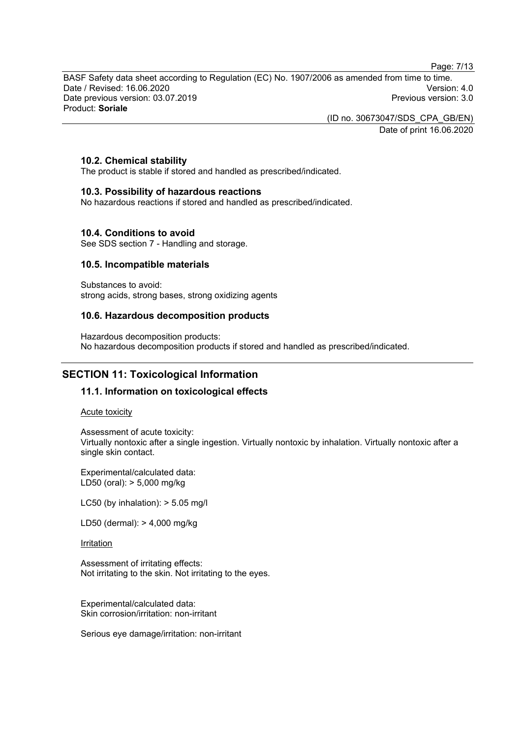Page: 7/13

BASF Safety data sheet according to Regulation (EC) No. 1907/2006 as amended from time to time. Date / Revised: 16.06.2020 Version: 4.0 Date previous version: 03.07.2019 Product: **Soriale**

(ID no. 30673047/SDS\_CPA\_GB/EN)

Date of print 16.06.2020

### **10.2. Chemical stability**

The product is stable if stored and handled as prescribed/indicated.

### **10.3. Possibility of hazardous reactions**

No hazardous reactions if stored and handled as prescribed/indicated.

### **10.4. Conditions to avoid**

See SDS section 7 - Handling and storage.

### **10.5. Incompatible materials**

Substances to avoid: strong acids, strong bases, strong oxidizing agents

### **10.6. Hazardous decomposition products**

Hazardous decomposition products: No hazardous decomposition products if stored and handled as prescribed/indicated.

### **SECTION 11: Toxicological Information**

### **11.1. Information on toxicological effects**

#### Acute toxicity

Assessment of acute toxicity: Virtually nontoxic after a single ingestion. Virtually nontoxic by inhalation. Virtually nontoxic after a single skin contact.

Experimental/calculated data: LD50 (oral): > 5,000 mg/kg

LC50 (by inhalation): > 5.05 mg/l

LD50 (dermal): > 4,000 mg/kg

#### Irritation

Assessment of irritating effects: Not irritating to the skin. Not irritating to the eyes.

Experimental/calculated data: Skin corrosion/irritation: non-irritant

Serious eye damage/irritation: non-irritant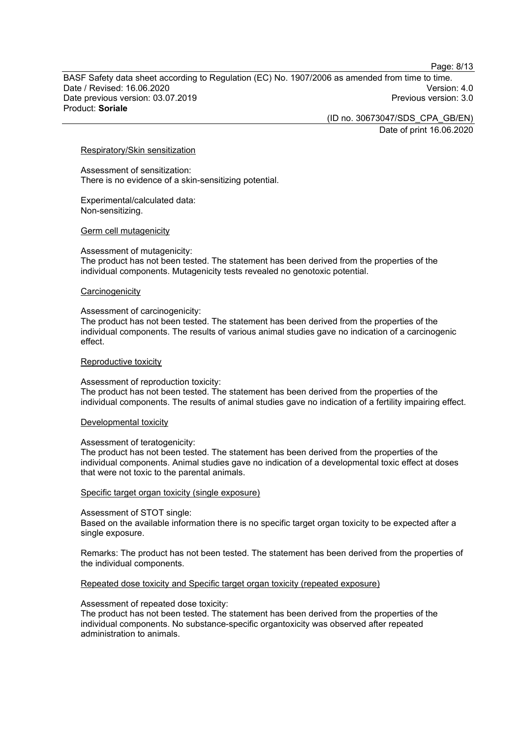Page: 8/13

BASF Safety data sheet according to Regulation (EC) No. 1907/2006 as amended from time to time. Date / Revised: 16.06.2020 Version: 4.0 Date previous version: 03.07.2019 Product: **Soriale**

(ID no. 30673047/SDS\_CPA\_GB/EN)

Date of print 16.06.2020

#### Respiratory/Skin sensitization

Assessment of sensitization: There is no evidence of a skin-sensitizing potential.

Experimental/calculated data: Non-sensitizing.

#### Germ cell mutagenicity

#### Assessment of mutagenicity:

The product has not been tested. The statement has been derived from the properties of the individual components. Mutagenicity tests revealed no genotoxic potential.

#### **Carcinogenicity**

#### Assessment of carcinogenicity:

The product has not been tested. The statement has been derived from the properties of the individual components. The results of various animal studies gave no indication of a carcinogenic effect.

#### Reproductive toxicity

#### Assessment of reproduction toxicity:

The product has not been tested. The statement has been derived from the properties of the individual components. The results of animal studies gave no indication of a fertility impairing effect.

#### Developmental toxicity

#### Assessment of teratogenicity:

The product has not been tested. The statement has been derived from the properties of the individual components. Animal studies gave no indication of a developmental toxic effect at doses that were not toxic to the parental animals.

#### Specific target organ toxicity (single exposure)

#### Assessment of STOT single:

Based on the available information there is no specific target organ toxicity to be expected after a single exposure.

Remarks: The product has not been tested. The statement has been derived from the properties of the individual components.

#### Repeated dose toxicity and Specific target organ toxicity (repeated exposure)

#### Assessment of repeated dose toxicity:

The product has not been tested. The statement has been derived from the properties of the individual components. No substance-specific organtoxicity was observed after repeated administration to animals.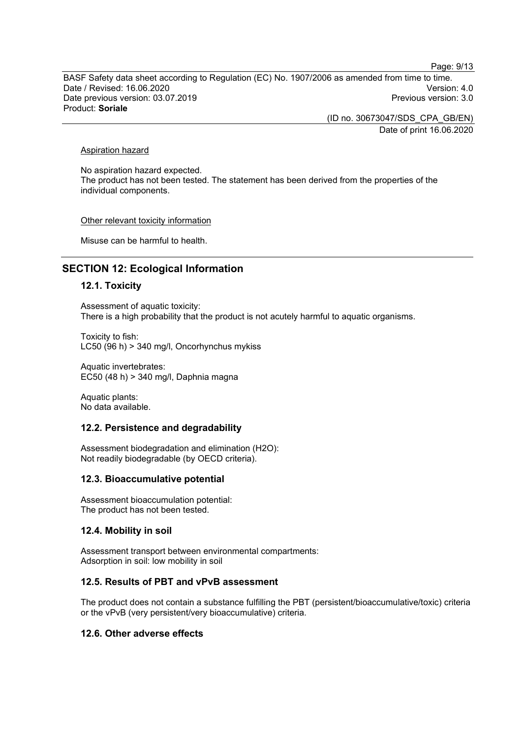Page: 9/13

BASF Safety data sheet according to Regulation (EC) No. 1907/2006 as amended from time to time. Date / Revised: 16.06.2020 Version: 4.0 Date previous version: 03.07.2019 Product: **Soriale**

> (ID no. 30673047/SDS\_CPA\_GB/EN) Date of print 16.06.2020

Aspiration hazard

No aspiration hazard expected. The product has not been tested. The statement has been derived from the properties of the individual components.

Other relevant toxicity information

Misuse can be harmful to health.

### **SECTION 12: Ecological Information**

#### **12.1. Toxicity**

Assessment of aquatic toxicity: There is a high probability that the product is not acutely harmful to aquatic organisms.

Toxicity to fish: LC50 (96 h) > 340 mg/l, Oncorhynchus mykiss

Aquatic invertebrates: EC50 (48 h) > 340 mg/l, Daphnia magna

Aquatic plants: No data available.

#### **12.2. Persistence and degradability**

Assessment biodegradation and elimination (H2O): Not readily biodegradable (by OECD criteria).

#### **12.3. Bioaccumulative potential**

Assessment bioaccumulation potential: The product has not been tested.

#### **12.4. Mobility in soil**

Assessment transport between environmental compartments: Adsorption in soil: low mobility in soil

#### **12.5. Results of PBT and vPvB assessment**

The product does not contain a substance fulfilling the PBT (persistent/bioaccumulative/toxic) criteria or the vPvB (very persistent/very bioaccumulative) criteria.

### **12.6. Other adverse effects**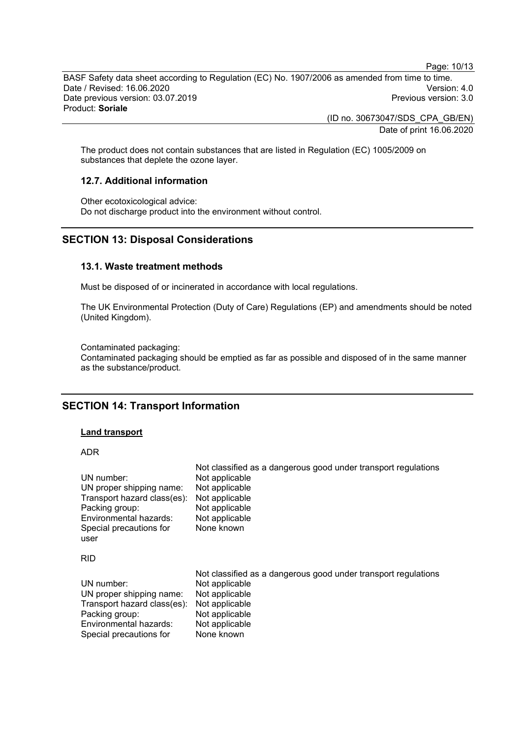Page: 10/13

BASF Safety data sheet according to Regulation (EC) No. 1907/2006 as amended from time to time. Date / Revised: 16.06.2020 Version: 4.0 Date previous version: 03.07.2019 Product: **Soriale**

> (ID no. 30673047/SDS\_CPA\_GB/EN) Date of print 16.06.2020

The product does not contain substances that are listed in Regulation (EC) 1005/2009 on substances that deplete the ozone layer.

### **12.7. Additional information**

Other ecotoxicological advice: Do not discharge product into the environment without control.

### **SECTION 13: Disposal Considerations**

### **13.1. Waste treatment methods**

Must be disposed of or incinerated in accordance with local regulations.

The UK Environmental Protection (Duty of Care) Regulations (EP) and amendments should be noted (United Kingdom).

Contaminated packaging: Contaminated packaging should be emptied as far as possible and disposed of in the same manner as the substance/product.

### **SECTION 14: Transport Information**

#### **Land transport**

#### ADR

| UN number:<br>UN proper shipping name:<br>Transport hazard class(es):<br>Packing group:<br>Environmental hazards:<br>Special precautions for<br>user | Not classified as a dangerous good under transport regulations<br>Not applicable<br>Not applicable<br>Not applicable<br>Not applicable<br>Not applicable<br>None known |
|------------------------------------------------------------------------------------------------------------------------------------------------------|------------------------------------------------------------------------------------------------------------------------------------------------------------------------|
| <b>RID</b>                                                                                                                                           |                                                                                                                                                                        |
| UN number:<br>UN proper shipping name:<br>Transport hazard class(es):<br>Packing group:<br>Environmental hazards:<br>Special precautions for         | Not classified as a dangerous good under transport regulations<br>Not applicable<br>Not applicable<br>Not applicable<br>Not applicable<br>Not applicable<br>None known |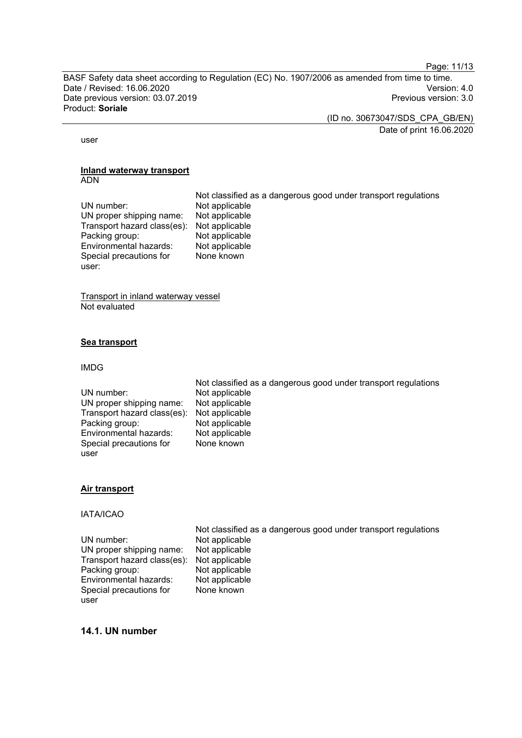Page: 11/13

BASF Safety data sheet according to Regulation (EC) No. 1907/2006 as amended from time to time. Date / Revised: 16.06.2020 Version: 4.0 Date previous version: 03.07.2019 Product: **Soriale**

(ID no. 30673047/SDS\_CPA\_GB/EN)

Date of print 16.06.2020

user

#### **Inland waterway transport** ADN

Not classified as a dangerous good under transport regulations UN number: Not applicable<br>UN proper shipping name: Not applicable UN proper shipping name: Not applicable<br>Transport hazard class(es): Not applicable Transport hazard class(es): Not applicable Packing group: Not applicable<br>
Environmental hazards: Not applicable Environmental hazards: Special precautions for None known

Transport in inland waterway vessel Not evaluated

### **Sea transport**

#### IMDG

user:

|                                            | The chapellied as a daily shows you all don't alloper they allowed |
|--------------------------------------------|--------------------------------------------------------------------|
| UN number:                                 | Not applicable                                                     |
| UN proper shipping name:                   | Not applicable                                                     |
| Transport hazard class(es): Not applicable |                                                                    |
| Packing group:                             | Not applicable                                                     |
| Environmental hazards:                     | Not applicable                                                     |
| Special precautions for                    | None known                                                         |
| user                                       |                                                                    |
|                                            |                                                                    |

### **Air transport**

#### IATA/ICAO

UN number: Not applicable<br>UN proper shipping name: Not applicable UN proper shipping name: Not applicable<br>Transport hazard class(es): Not applicable Transport hazard class(es): Not applicable<br>Packing group: Not applicable Packing group: Not applicable<br>
Environmental hazards: Not applicable Environmental hazards: Special precautions for user

Not classified as a dangerous good under transport regulations None known

Not classified as a dangerous good under transport regulations

### **14.1. UN number**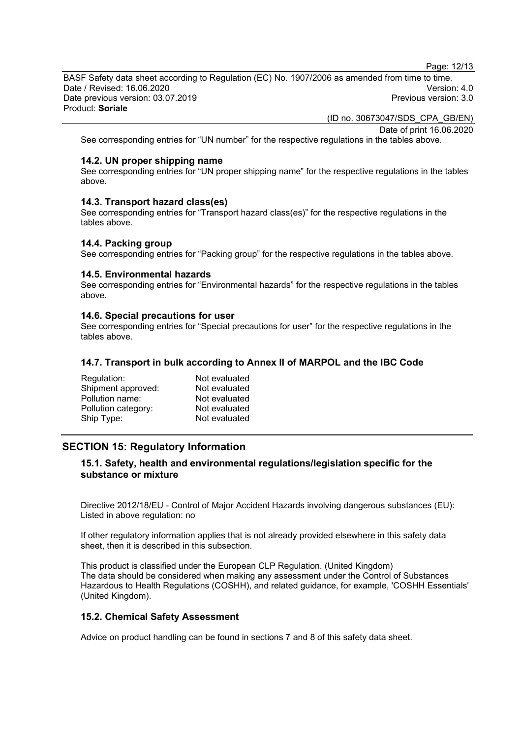Page: 12/13

BASF Safety data sheet according to Regulation (EC) No. 1907/2006 as amended from time to time. Date / Revised: 16.06.2020 Version: 4.0 Date previous version: 03.07.2019 Product: **Soriale**

(ID no. 30673047/SDS\_CPA\_GB/EN)

Date of print 16.06.2020

See corresponding entries for "UN number" for the respective regulations in the tables above.

#### **14.2. UN proper shipping name**

See corresponding entries for "UN proper shipping name" for the respective regulations in the tables above.

#### **14.3. Transport hazard class(es)**

See corresponding entries for "Transport hazard class(es)" for the respective regulations in the tables above.

#### **14.4. Packing group**

See corresponding entries for "Packing group" for the respective regulations in the tables above.

#### **14.5. Environmental hazards**

See corresponding entries for "Environmental hazards" for the respective regulations in the tables above.

#### **14.6. Special precautions for user**

See corresponding entries for "Special precautions for user" for the respective regulations in the tables above.

#### **14.7. Transport in bulk according to Annex II of MARPOL and the IBC Code**

| Not evaluated |
|---------------|
| Not evaluated |
| Not evaluated |
| Not evaluated |
| Not evaluated |
|               |

### **SECTION 15: Regulatory Information**

### **15.1. Safety, health and environmental regulations/legislation specific for the substance or mixture**

Directive 2012/18/EU - Control of Major Accident Hazards involving dangerous substances (EU): Listed in above regulation: no

If other regulatory information applies that is not already provided elsewhere in this safety data sheet, then it is described in this subsection.

This product is classified under the European CLP Regulation. (United Kingdom) The data should be considered when making any assessment under the Control of Substances Hazardous to Health Regulations (COSHH), and related guidance, for example, 'COSHH Essentials' (United Kingdom).

#### **15.2. Chemical Safety Assessment**

Advice on product handling can be found in sections 7 and 8 of this safety data sheet.